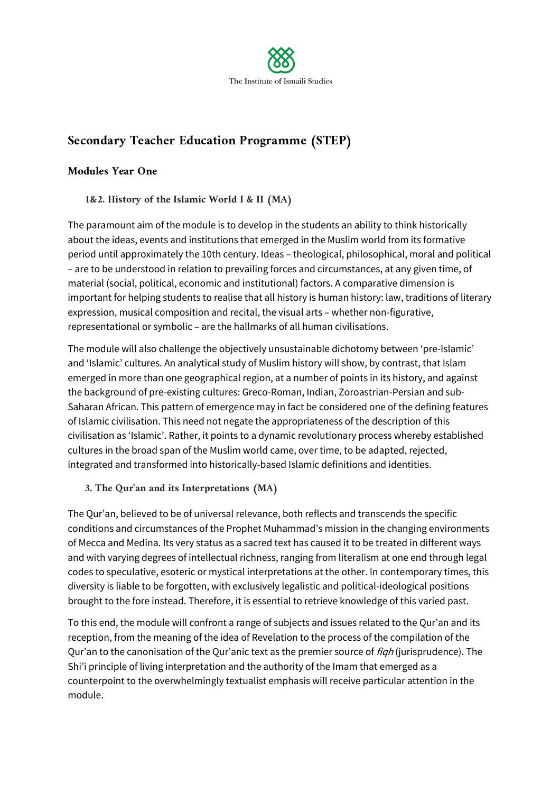

# **Secondary Teacher Education Programme (STEP)**

### **Modules Year One**

### **1&2. History of the Islamic World I & II (MA)**

The paramount aim of the module is to develop in the students an ability to think historically about the ideas, events and institutions that emerged in the Muslim world from its formative period until approximately the 10th century. Ideas – theological, philosophical, moral and political – are to be understood in relation to prevailing forces and circumstances, at any given time, of material (social, political, economic and institutional) factors. A comparative dimension is important for helping students to realise that all history is human history: law, traditions of literary expression, musical composition and recital, the visual arts – whether non-figurative, representational or symbolic – are the hallmarks of all human civilisations.

The module will also challenge the objectively unsustainable dichotomy between 'pre-Islamic' and 'Islamic' cultures. An analytical study of Muslim history will show, by contrast, that Islam emerged in more than one geographical region, at a number of points in its history, and against the background of pre-existing cultures: Greco-Roman, Indian, Zoroastrian-Persian and sub-Saharan African. This pattern of emergence may in fact be considered one of the defining features of Islamic civilisation. This need not negate the appropriateness of the description of this civilisation as 'Islamic'. Rather, it points to a dynamic revolutionary process whereby established cultures in the broad span of the Muslim world came, over time, to be adapted, rejected, integrated and transformed into historically-based Islamic definitions and identities.

### **3. The Qur'an and its Interpretations (MA)**

The Qur'an, believed to be of universal relevance, both reflects and transcends the specific conditions and circumstances of the Prophet Muhammad's mission in the changing environments of Mecca and Medina. Its very status as a sacred text has caused it to be treated in different ways and with varying degrees of intellectual richness, ranging from literalism at one end through legal codes to speculative, esoteric or mystical interpretations at the other. In contemporary times, this diversity is liable to be forgotten, with exclusively legalistic and political-ideological positions brought to the fore instead. Therefore, it is essential to retrieve knowledge of this varied past.

To this end, the module will confront a range of subjects and issues related to the Qur'an and its reception, from the meaning of the idea of Revelation to the process of the compilation of the Qur'an to the canonisation of the Qur'anic text as the premier source of *fiqh* (jurisprudence). The Shi'i principle of living interpretation and the authority of the Imam that emerged as a counterpoint to the overwhelmingly textualist emphasis will receive particular attention in the module.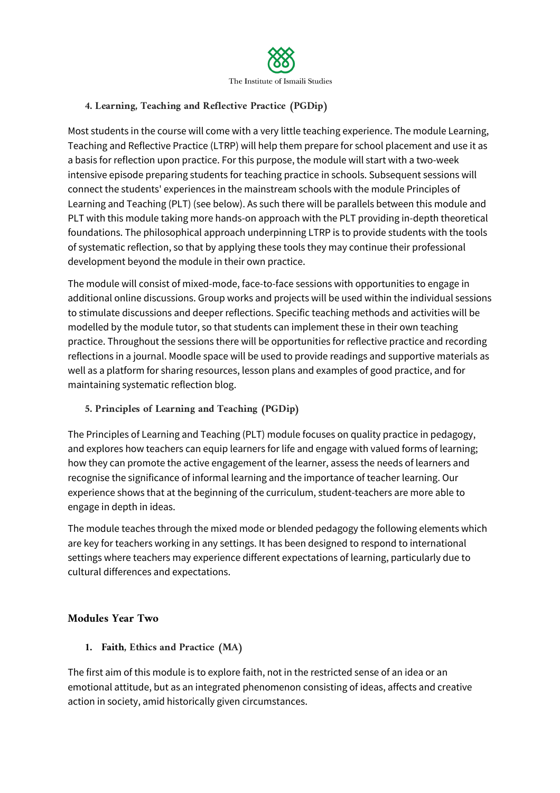

### **4. Learning, Teaching and Reflective Practice (PGDip)**

Most students in the course will come with a very little teaching experience. The module Learning, Teaching and Reflective Practice (LTRP) will help them prepare for school placement and use it as a basis for reflection upon practice. For this purpose, the module will start with a two-week intensive episode preparing students for teaching practice in schools. Subsequent sessions will connect the students' experiences in the mainstream schools with the module Principles of Learning and Teaching (PLT) (see below). As such there will be parallels between this module and PLT with this module taking more hands-on approach with the PLT providing in-depth theoretical foundations. The philosophical approach underpinning LTRP is to provide students with the tools of systematic reflection, so that by applying these tools they may continue their professional development beyond the module in their own practice.

The module will consist of mixed-mode, face-to-face sessions with opportunities to engage in additional online discussions. Group works and projects will be used within the individual sessions to stimulate discussions and deeper reflections. Specific teaching methods and activities will be modelled by the module tutor, so that students can implement these in their own teaching practice. Throughout the sessions there will be opportunities for reflective practice and recording reflections in a journal. Moodle space will be used to provide readings and supportive materials as well as a platform for sharing resources, lesson plans and examples of good practice, and for maintaining systematic reflection blog.

**5. Principles of Learning and Teaching (PGDip)**

The Principles of Learning and Teaching (PLT) module focuses on quality practice in pedagogy, and explores how teachers can equip learners for life and engage with valued forms of learning; how they can promote the active engagement of the learner, assess the needs of learners and recognise the significance of informal learning and the importance of teacher learning. Our experience shows that at the beginning of the curriculum, student-teachers are more able to engage in depth in ideas.

The module teaches through the mixed mode or blended pedagogy the following elements which are key for teachers working in any settings. It has been designed to respond to international settings where teachers may experience different expectations of learning, particularly due to cultural differences and expectations.

### **Modules Year Two**

**1. Faith, Ethics and Practice (MA)**

The first aim of this module is to explore faith, not in the restricted sense of an idea or an emotional attitude, but as an integrated phenomenon consisting of ideas, affects and creative action in society, amid historically given circumstances.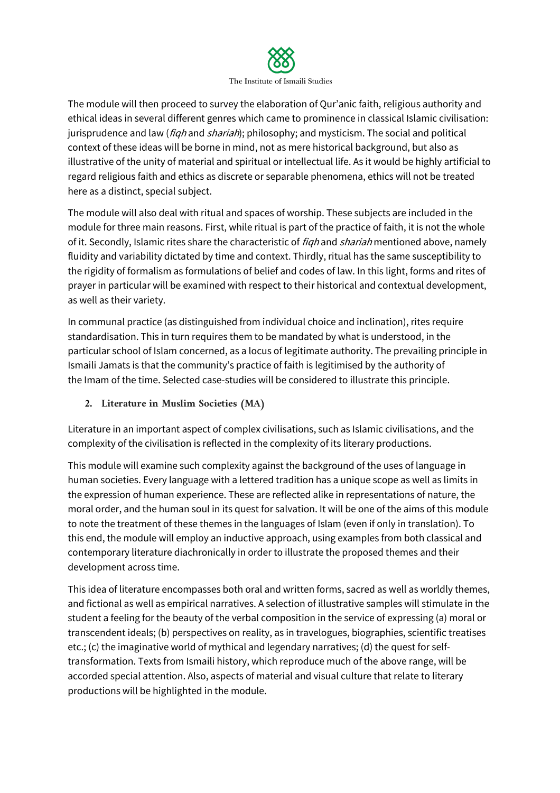

The module will then proceed to survey the elaboration of Qur'anic faith, religious authority and ethical ideas in several different genres which came to prominence in classical Islamic civilisation: jurisprudence and law (*fiqh* and *shariah*); philosophy; and mysticism. The social and political context of these ideas will be borne in mind, not as mere historical background, but also as illustrative of the unity of material and spiritual or intellectual life. As it would be highly artificial to regard religious faith and ethics as discrete or separable phenomena, ethics will not be treated here as a distinct, special subject.

The module will also deal with ritual and spaces of worship. These subjects are included in the module for three main reasons. First, while ritual is part of the practice of faith, it is not the whole of it. Secondly, Islamic rites share the characteristic of figh and shariah mentioned above, namely fluidity and variability dictated by time and context. Thirdly, ritual has the same susceptibility to the rigidity of formalism as formulations of belief and codes of law. In this light, forms and rites of prayer in particular will be examined with respect to their historical and contextual development, as well as their variety.

In communal practice (as distinguished from individual choice and inclination), rites require standardisation. This in turn requires them to be mandated by what is understood, in the particular school of Islam concerned, as a locus of legitimate authority. The prevailing principle in Ismaili Jamats is that the community's practice of faith is legitimised by the authority of the Imam of the time. Selected case-studies will be considered to illustrate this principle.

# **2. Literature in Muslim Societies (MA)**

Literature in an important aspect of complex civilisations, such as Islamic civilisations, and the complexity of the civilisation is reflected in the complexity of its literary productions.

This module will examine such complexity against the background of the uses of language in human societies. Every language with a lettered tradition has a unique scope as well as limits in the expression of human experience. These are reflected alike in representations of nature, the moral order, and the human soul in its quest for salvation. It will be one of the aims of this module to note the treatment of these themes in the languages of Islam (even if only in translation). To this end, the module will employ an inductive approach, using examples from both classical and contemporary literature diachronically in order to illustrate the proposed themes and their development across time.

This idea of literature encompasses both oral and written forms, sacred as well as worldly themes, and fictional as well as empirical narratives. A selection of illustrative samples will stimulate in the student a feeling for the beauty of the verbal composition in the service of expressing (a) moral or transcendent ideals; (b) perspectives on reality, as in travelogues, biographies, scientific treatises etc.; (c) the imaginative world of mythical and legendary narratives; (d) the quest for selftransformation. Texts from Ismaili history, which reproduce much of the above range, will be accorded special attention. Also, aspects of material and visual culture that relate to literary productions will be highlighted in the module.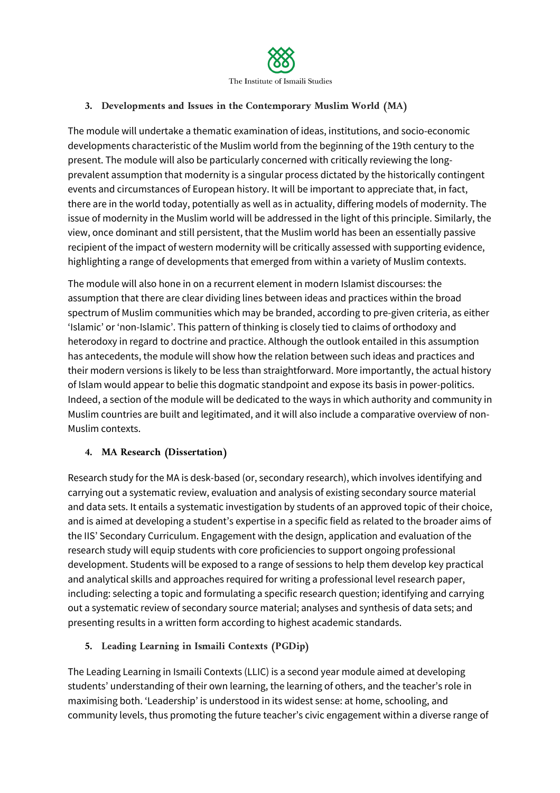

### **3. Developments and Issues in the Contemporary Muslim World (MA)**

The module will undertake a thematic examination of ideas, institutions, and socio-economic developments characteristic of the Muslim world from the beginning of the 19th century to the present. The module will also be particularly concerned with critically reviewing the longprevalent assumption that modernity is a singular process dictated by the historically contingent events and circumstances of European history. It will be important to appreciate that, in fact, there are in the world today, potentially as well as in actuality, differing models of modernity. The issue of modernity in the Muslim world will be addressed in the light of this principle. Similarly, the view, once dominant and still persistent, that the Muslim world has been an essentially passive recipient of the impact of western modernity will be critically assessed with supporting evidence, highlighting a range of developments that emerged from within a variety of Muslim contexts.

The module will also hone in on a recurrent element in modern Islamist discourses: the assumption that there are clear dividing lines between ideas and practices within the broad spectrum of Muslim communities which may be branded, according to pre-given criteria, as either 'Islamic' or 'non-Islamic'. This pattern of thinking is closely tied to claims of orthodoxy and heterodoxy in regard to doctrine and practice. Although the outlook entailed in this assumption has antecedents, the module will show how the relation between such ideas and practices and their modern versions is likely to be less than straightforward. More importantly, the actual history of Islam would appear to belie this dogmatic standpoint and expose its basis in power-politics. Indeed, a section of the module will be dedicated to the ways in which authority and community in Muslim countries are built and legitimated, and it will also include a comparative overview of non-Muslim contexts.

### **4. MA Research (Dissertation)**

Research study for the MA is desk-based (or, secondary research), which involves identifying and carrying out a systematic review, evaluation and analysis of existing secondary source material and data sets. It entails a systematic investigation by students of an approved topic of their choice, and is aimed at developing a student's expertise in a specific field as related to the broader aims of the IIS' Secondary Curriculum. Engagement with the design, application and evaluation of the research study will equip students with core proficiencies to support ongoing professional development. Students will be exposed to a range of sessions to help them develop key practical and analytical skills and approaches required for writing a professional level research paper, including: selecting a topic and formulating a specific research question; identifying and carrying out a systematic review of secondary source material; analyses and synthesis of data sets; and presenting results in a written form according to highest academic standards.

### **5. Leading Learning in Ismaili Contexts (PGDip)**

The Leading Learning in Ismaili Contexts (LLIC) is a second year module aimed at developing students' understanding of their own learning, the learning of others, and the teacher's role in maximising both. 'Leadership' is understood in its widest sense: at home, schooling, and community levels, thus promoting the future teacher's civic engagement within a diverse range of